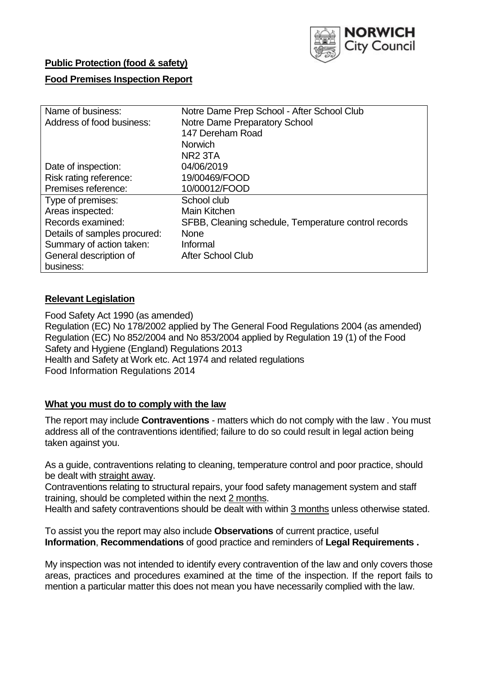

## **Public Protection (food & safety)**

## **Food Premises Inspection Report**

| Name of business:            | Notre Dame Prep School - After School Club           |  |  |  |  |  |
|------------------------------|------------------------------------------------------|--|--|--|--|--|
| Address of food business:    | Notre Dame Preparatory School                        |  |  |  |  |  |
|                              | 147 Dereham Road                                     |  |  |  |  |  |
|                              | <b>Norwich</b>                                       |  |  |  |  |  |
|                              | NR <sub>2</sub> 3TA                                  |  |  |  |  |  |
| Date of inspection:          | 04/06/2019                                           |  |  |  |  |  |
| Risk rating reference:       | 19/00469/FOOD                                        |  |  |  |  |  |
| Premises reference:          | 10/00012/FOOD                                        |  |  |  |  |  |
| Type of premises:            | School club                                          |  |  |  |  |  |
| Areas inspected:             | <b>Main Kitchen</b>                                  |  |  |  |  |  |
| Records examined:            | SFBB, Cleaning schedule, Temperature control records |  |  |  |  |  |
| Details of samples procured: | <b>None</b>                                          |  |  |  |  |  |
| Summary of action taken:     | Informal                                             |  |  |  |  |  |
| General description of       | <b>After School Club</b>                             |  |  |  |  |  |
| business:                    |                                                      |  |  |  |  |  |

## **Relevant Legislation**

Food Safety Act 1990 (as amended) Regulation (EC) No 178/2002 applied by The General Food Regulations 2004 (as amended) Regulation (EC) No 852/2004 and No 853/2004 applied by Regulation 19 (1) of the Food Safety and Hygiene (England) Regulations 2013 Health and Safety at Work etc. Act 1974 and related regulations Food Information Regulations 2014

## **What you must do to comply with the law**

The report may include **Contraventions** - matters which do not comply with the law . You must address all of the contraventions identified; failure to do so could result in legal action being taken against you.

As a guide, contraventions relating to cleaning, temperature control and poor practice, should be dealt with straight away.

Contraventions relating to structural repairs, your food safety management system and staff training, should be completed within the next 2 months.

Health and safety contraventions should be dealt with within 3 months unless otherwise stated.

To assist you the report may also include **Observations** of current practice, useful **Information**, **Recommendations** of good practice and reminders of **Legal Requirements .**

My inspection was not intended to identify every contravention of the law and only covers those areas, practices and procedures examined at the time of the inspection. If the report fails to mention a particular matter this does not mean you have necessarily complied with the law.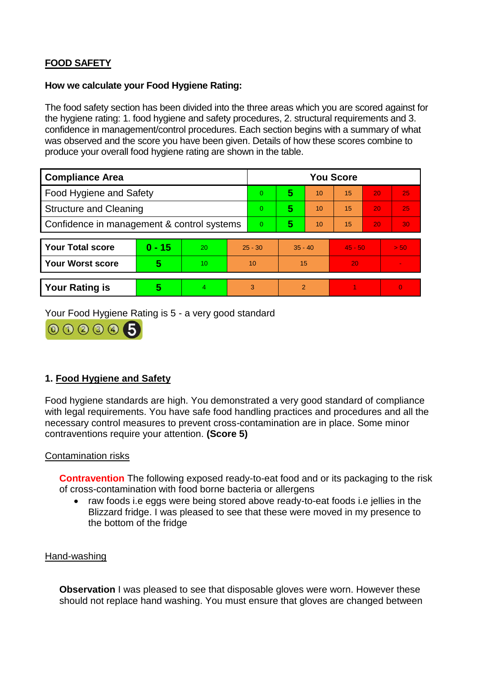# **FOOD SAFETY**

### **How we calculate your Food Hygiene Rating:**

The food safety section has been divided into the three areas which you are scored against for the hygiene rating: 1. food hygiene and safety procedures, 2. structural requirements and 3. confidence in management/control procedures. Each section begins with a summary of what was observed and the score you have been given. Details of how these scores combine to produce your overall food hygiene rating are shown in the table.

| <b>Compliance Area</b>                     |          |                  |           | <b>You Score</b> |               |    |           |    |          |  |  |
|--------------------------------------------|----------|------------------|-----------|------------------|---------------|----|-----------|----|----------|--|--|
| Food Hygiene and Safety                    |          |                  |           | 0                | 5             | 10 | 15        | 20 | 25       |  |  |
| <b>Structure and Cleaning</b>              |          |                  |           | $\Omega$         | 5             | 10 | 15        | 20 | 25       |  |  |
| Confidence in management & control systems |          |                  |           | $\Omega$         | 5             | 10 | 15        | 20 | 30       |  |  |
|                                            |          |                  |           |                  |               |    |           |    |          |  |  |
| <b>Your Total score</b>                    | $0 - 15$ | 20               | $25 - 30$ |                  | $35 - 40$     |    | $45 - 50$ |    | > 50     |  |  |
| <b>Your Worst score</b>                    | 5        | 10 <sup>10</sup> | 10        |                  | 15            |    | 20        |    |          |  |  |
|                                            |          |                  |           |                  |               |    |           |    |          |  |  |
| <b>Your Rating is</b>                      | 5        | 4                |           | 3                | $\mathcal{P}$ |    |           |    | $\Omega$ |  |  |

Your Food Hygiene Rating is 5 - a very good standard



## **1. Food Hygiene and Safety**

Food hygiene standards are high. You demonstrated a very good standard of compliance with legal requirements. You have safe food handling practices and procedures and all the necessary control measures to prevent cross-contamination are in place. Some minor contraventions require your attention. **(Score 5)**

## Contamination risks

**Contravention** The following exposed ready-to-eat food and or its packaging to the risk of cross-contamination with food borne bacteria or allergens

• raw foods i.e eggs were being stored above ready-to-eat foods i.e jellies in the Blizzard fridge. I was pleased to see that these were moved in my presence to the bottom of the fridge

#### Hand-washing

**Observation** I was pleased to see that disposable gloves were worn. However these should not replace hand washing. You must ensure that gloves are changed between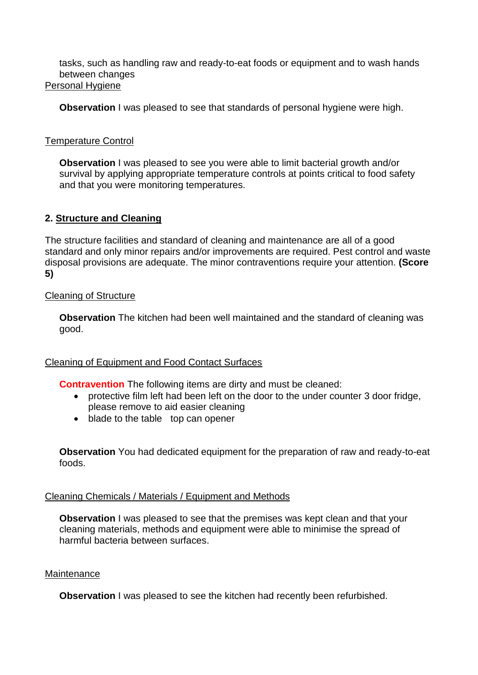tasks, such as handling raw and ready-to-eat foods or equipment and to wash hands between changes Personal Hygiene

**Observation** I was pleased to see that standards of personal hygiene were high.

## Temperature Control

**Observation** I was pleased to see you were able to limit bacterial growth and/or survival by applying appropriate temperature controls at points critical to food safety and that you were monitoring temperatures.

## **2. Structure and Cleaning**

The structure facilities and standard of cleaning and maintenance are all of a good standard and only minor repairs and/or improvements are required. Pest control and waste disposal provisions are adequate. The minor contraventions require your attention. **(Score 5)**

## Cleaning of Structure

**Observation** The kitchen had been well maintained and the standard of cleaning was good.

## Cleaning of Equipment and Food Contact Surfaces

**Contravention** The following items are dirty and must be cleaned:

- protective film left had been left on the door to the under counter 3 door fridge, please remove to aid easier cleaning
- blade to the table top can opener

**Observation** You had dedicated equipment for the preparation of raw and ready-to-eat foods.

## Cleaning Chemicals / Materials / Equipment and Methods

**Observation I** was pleased to see that the premises was kept clean and that your cleaning materials, methods and equipment were able to minimise the spread of harmful bacteria between surfaces.

## **Maintenance**

**Observation** I was pleased to see the kitchen had recently been refurbished.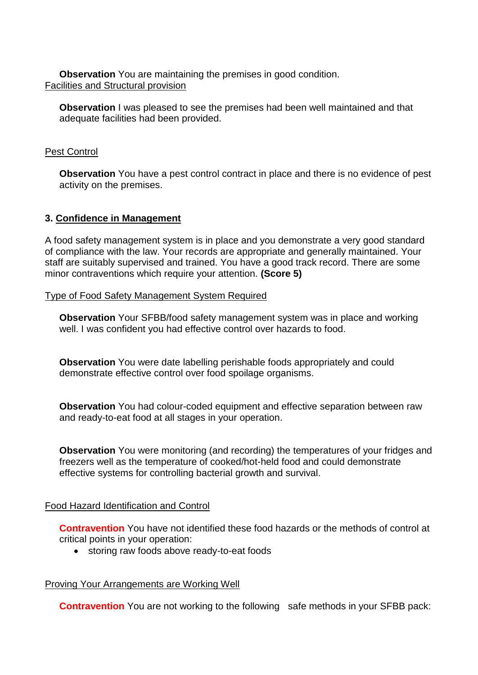**Observation** You are maintaining the premises in good condition. Facilities and Structural provision

**Observation** I was pleased to see the premises had been well maintained and that adequate facilities had been provided.

### Pest Control

**Observation** You have a pest control contract in place and there is no evidence of pest activity on the premises.

## **3. Confidence in Management**

A food safety management system is in place and you demonstrate a very good standard of compliance with the law. Your records are appropriate and generally maintained. Your staff are suitably supervised and trained. You have a good track record. There are some minor contraventions which require your attention. **(Score 5)**

Type of Food Safety Management System Required

**Observation** Your SFBB/food safety management system was in place and working well. I was confident you had effective control over hazards to food.

**Observation** You were date labelling perishable foods appropriately and could demonstrate effective control over food spoilage organisms.

**Observation** You had colour-coded equipment and effective separation between raw and ready-to-eat food at all stages in your operation.

**Observation** You were monitoring (and recording) the temperatures of your fridges and freezers well as the temperature of cooked/hot-held food and could demonstrate effective systems for controlling bacterial growth and survival.

#### Food Hazard Identification and Control

**Contravention** You have not identified these food hazards or the methods of control at critical points in your operation:

storing raw foods above ready-to-eat foods

#### Proving Your Arrangements are Working Well

**Contravention** You are not working to the following safe methods in your SFBB pack: